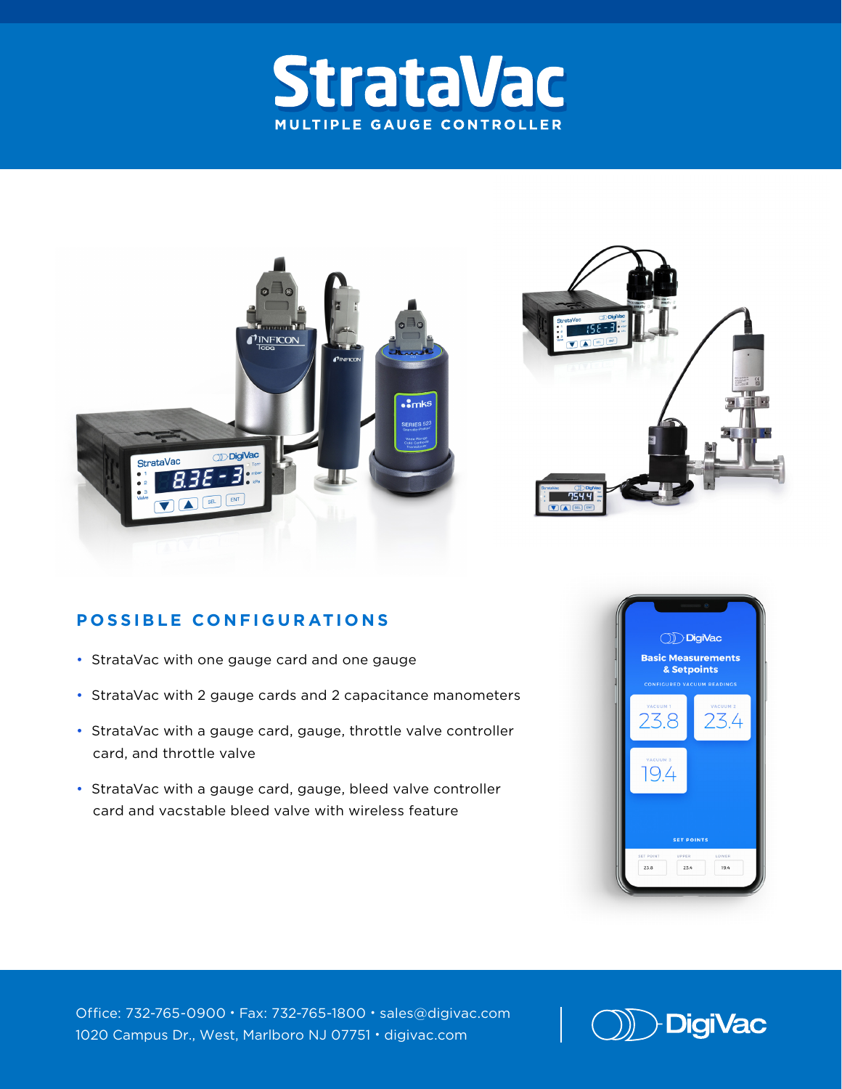





# **POSSIBLE CONFIGURATIONS**

- StrataVac with one gauge card and one gauge
- StrataVac with 2 gauge cards and 2 capacitance manometers
- StrataVac with a gauge card, gauge, throttle valve controller card, and throttle valve
- StrataVac with a gauge card, gauge, bleed valve controller card and vacstable bleed valve with wireless feature



Office: 732-765-0900 · Fax: 732-765-1800 · sales@digivac.com 1020 Campus Dr., West, Marlboro NJ 07751 • digivac.com